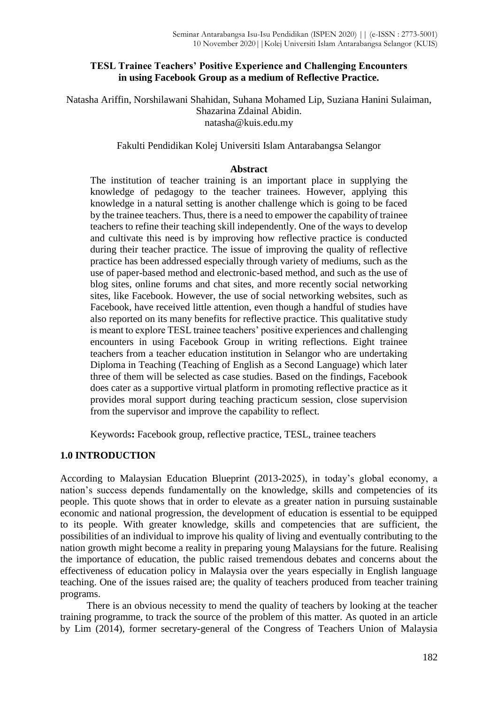## **TESL Trainee Teachers' Positive Experience and Challenging Encounters in using Facebook Group as a medium of Reflective Practice.**

Natasha Ariffin, Norshilawani Shahidan, Suhana Mohamed Lip, Suziana Hanini Sulaiman, Shazarina Zdainal Abidin. natasha@kuis.edu.my

## Fakulti Pendidikan Kolej Universiti Islam Antarabangsa Selangor

#### **Abstract**

The institution of teacher training is an important place in supplying the knowledge of pedagogy to the teacher trainees. However, applying this knowledge in a natural setting is another challenge which is going to be faced by the trainee teachers. Thus, there is a need to empower the capability of trainee teachers to refine their teaching skill independently. One of the ways to develop and cultivate this need is by improving how reflective practice is conducted during their teacher practice. The issue of improving the quality of reflective practice has been addressed especially through variety of mediums, such as the use of paper-based method and electronic-based method, and such as the use of blog sites, online forums and chat sites, and more recently social networking sites, like Facebook. However, the use of social networking websites, such as Facebook, have received little attention, even though a handful of studies have also reported on its many benefits for reflective practice. This qualitative study is meant to explore TESL trainee teachers' positive experiences and challenging encounters in using Facebook Group in writing reflections. Eight trainee teachers from a teacher education institution in Selangor who are undertaking Diploma in Teaching (Teaching of English as a Second Language) which later three of them will be selected as case studies. Based on the findings, Facebook does cater as a supportive virtual platform in promoting reflective practice as it provides moral support during teaching practicum session, close supervision from the supervisor and improve the capability to reflect.

Keywords**:** Facebook group, reflective practice, TESL, trainee teachers

## **1.0 INTRODUCTION**

According to Malaysian Education Blueprint (2013-2025), in today's global economy, a nation's success depends fundamentally on the knowledge, skills and competencies of its people. This quote shows that in order to elevate as a greater nation in pursuing sustainable economic and national progression, the development of education is essential to be equipped to its people. With greater knowledge, skills and competencies that are sufficient, the possibilities of an individual to improve his quality of living and eventually contributing to the nation growth might become a reality in preparing young Malaysians for the future. Realising the importance of education, the public raised tremendous debates and concerns about the effectiveness of education policy in Malaysia over the years especially in English language teaching. One of the issues raised are; the quality of teachers produced from teacher training programs.

There is an obvious necessity to mend the quality of teachers by looking at the teacher training programme, to track the source of the problem of this matter. As quoted in an article by Lim (2014), former secretary-general of the Congress of Teachers Union of Malaysia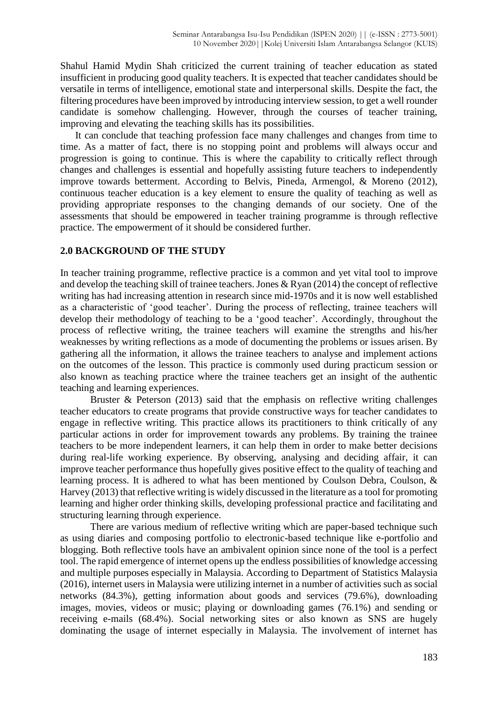Shahul Hamid Mydin Shah criticized the current training of teacher education as stated insufficient in producing good quality teachers. It is expected that teacher candidates should be versatile in terms of intelligence, emotional state and interpersonal skills. Despite the fact, the filtering procedures have been improved by introducing interview session, to get a well rounder candidate is somehow challenging. However, through the courses of teacher training, improving and elevating the teaching skills has its possibilities.

It can conclude that teaching profession face many challenges and changes from time to time. As a matter of fact, there is no stopping point and problems will always occur and progression is going to continue. This is where the capability to critically reflect through changes and challenges is essential and hopefully assisting future teachers to independently improve towards betterment. According to Belvis, Pineda, Armengol, & Moreno (2012), continuous teacher education is a key element to ensure the quality of teaching as well as providing appropriate responses to the changing demands of our society. One of the assessments that should be empowered in teacher training programme is through reflective practice. The empowerment of it should be considered further.

## **2.0 BACKGROUND OF THE STUDY**

In teacher training programme, reflective practice is a common and yet vital tool to improve and develop the teaching skill of trainee teachers. Jones & Ryan (2014) the concept of reflective writing has had increasing attention in research since mid-1970s and it is now well established as a characteristic of 'good teacher'. During the process of reflecting, trainee teachers will develop their methodology of teaching to be a 'good teacher'. Accordingly, throughout the process of reflective writing, the trainee teachers will examine the strengths and his/her weaknesses by writing reflections as a mode of documenting the problems or issues arisen. By gathering all the information, it allows the trainee teachers to analyse and implement actions on the outcomes of the lesson. This practice is commonly used during practicum session or also known as teaching practice where the trainee teachers get an insight of the authentic teaching and learning experiences.

Bruster & Peterson (2013) said that the emphasis on reflective writing challenges teacher educators to create programs that provide constructive ways for teacher candidates to engage in reflective writing. This practice allows its practitioners to think critically of any particular actions in order for improvement towards any problems. By training the trainee teachers to be more independent learners, it can help them in order to make better decisions during real-life working experience. By observing, analysing and deciding affair, it can improve teacher performance thus hopefully gives positive effect to the quality of teaching and learning process. It is adhered to what has been mentioned by Coulson Debra, Coulson, & Harvey (2013) that reflective writing is widely discussed in the literature as a tool for promoting learning and higher order thinking skills, developing professional practice and facilitating and structuring learning through experience.

There are various medium of reflective writing which are paper-based technique such as using diaries and composing portfolio to electronic-based technique like e-portfolio and blogging. Both reflective tools have an ambivalent opinion since none of the tool is a perfect tool. The rapid emergence of internet opens up the endless possibilities of knowledge accessing and multiple purposes especially in Malaysia. According to Department of Statistics Malaysia (2016), internet users in Malaysia were utilizing internet in a number of activities such as social networks (84.3%), getting information about goods and services (79.6%), downloading images, movies, videos or music; playing or downloading games (76.1%) and sending or receiving e-mails (68.4%). Social networking sites or also known as SNS are hugely dominating the usage of internet especially in Malaysia. The involvement of internet has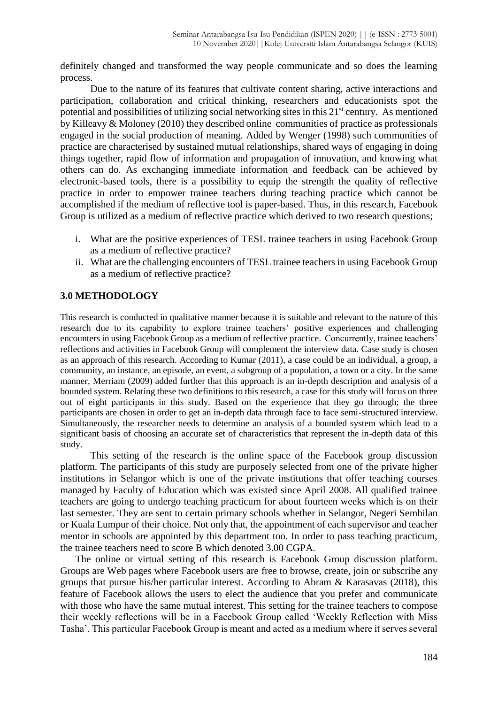definitely changed and transformed the way people communicate and so does the learning process.

Due to the nature of its features that cultivate content sharing, active interactions and participation, collaboration and critical thinking, researchers and educationists spot the potential and possibilities of utilizing social networking sites in this  $21<sup>st</sup>$  century. As mentioned by Killeavy & Moloney (2010) they described online communities of practice as professionals engaged in the social production of meaning. Added by Wenger (1998) such communities of practice are characterised by sustained mutual relationships, shared ways of engaging in doing things together, rapid flow of information and propagation of innovation, and knowing what others can do. As exchanging immediate information and feedback can be achieved by electronic-based tools, there is a possibility to equip the strength the quality of reflective practice in order to empower trainee teachers during teaching practice which cannot be accomplished if the medium of reflective tool is paper-based. Thus, in this research, Facebook Group is utilized as a medium of reflective practice which derived to two research questions;

- i. What are the positive experiences of TESL trainee teachers in using Facebook Group as a medium of reflective practice?
- ii. What are the challenging encounters of TESL trainee teachers in using Facebook Group as a medium of reflective practice?

# **3.0 METHODOLOGY**

This research is conducted in qualitative manner because it is suitable and relevant to the nature of this research due to its capability to explore trainee teachers' positive experiences and challenging encounters in using Facebook Group as a medium of reflective practice. Concurrently, trainee teachers' reflections and activities in Facebook Group will complement the interview data. Case study is chosen as an approach of this research. According to Kumar (2011), a case could be an individual, a group, a community, an instance, an episode, an event, a subgroup of a population, a town or a city. In the same manner, Merriam (2009) added further that this approach is an in-depth description and analysis of a bounded system. Relating these two definitions to this research, a case for this study will focus on three out of eight participants in this study. Based on the experience that they go through; the three participants are chosen in order to get an in-depth data through face to face semi-structured interview. Simultaneously, the researcher needs to determine an analysis of a bounded system which lead to a significant basis of choosing an accurate set of characteristics that represent the in-depth data of this study.

This setting of the research is the online space of the Facebook group discussion platform. The participants of this study are purposely selected from one of the private higher institutions in Selangor which is one of the private institutions that offer teaching courses managed by Faculty of Education which was existed since April 2008. All qualified trainee teachers are going to undergo teaching practicum for about fourteen weeks which is on their last semester. They are sent to certain primary schools whether in Selangor, Negeri Sembilan or Kuala Lumpur of their choice. Not only that, the appointment of each supervisor and teacher mentor in schools are appointed by this department too. In order to pass teaching practicum, the trainee teachers need to score B which denoted 3.00 CGPA.

The online or virtual setting of this research is Facebook Group discussion platform. Groups are Web pages where Facebook users are free to browse, create, join or subscribe any groups that pursue his/her particular interest. According to Abram & Karasavas (2018), this feature of Facebook allows the users to elect the audience that you prefer and communicate with those who have the same mutual interest. This setting for the trainee teachers to compose their weekly reflections will be in a Facebook Group called 'Weekly Reflection with Miss Tasha'. This particular Facebook Group is meant and acted as a medium where it serves several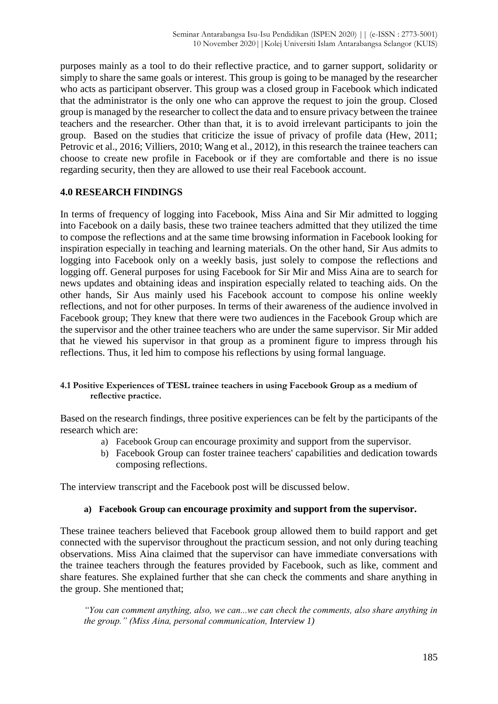purposes mainly as a tool to do their reflective practice, and to garner support, solidarity or simply to share the same goals or interest. This group is going to be managed by the researcher who acts as participant observer. This group was a closed group in Facebook which indicated that the administrator is the only one who can approve the request to join the group. Closed group is managed by the researcher to collect the data and to ensure privacy between the trainee teachers and the researcher. Other than that, it is to avoid irrelevant participants to join the group. Based on the studies that criticize the issue of privacy of profile data (Hew, 2011; Petrovic et al., 2016; Villiers, 2010; Wang et al., 2012), in this research the trainee teachers can choose to create new profile in Facebook or if they are comfortable and there is no issue regarding security, then they are allowed to use their real Facebook account.

# **4.0 RESEARCH FINDINGS**

In terms of frequency of logging into Facebook, Miss Aina and Sir Mir admitted to logging into Facebook on a daily basis, these two trainee teachers admitted that they utilized the time to compose the reflections and at the same time browsing information in Facebook looking for inspiration especially in teaching and learning materials. On the other hand, Sir Aus admits to logging into Facebook only on a weekly basis, just solely to compose the reflections and logging off. General purposes for using Facebook for Sir Mir and Miss Aina are to search for news updates and obtaining ideas and inspiration especially related to teaching aids. On the other hands, Sir Aus mainly used his Facebook account to compose his online weekly reflections, and not for other purposes. In terms of their awareness of the audience involved in Facebook group; They knew that there were two audiences in the Facebook Group which are the supervisor and the other trainee teachers who are under the same supervisor. Sir Mir added that he viewed his supervisor in that group as a prominent figure to impress through his reflections. Thus, it led him to compose his reflections by using formal language.

### **4.1 Positive Experiences of TESL trainee teachers in using Facebook Group as a medium of reflective practice.**

Based on the research findings, three positive experiences can be felt by the participants of the research which are:

- a) Facebook Group can encourage proximity and support from the supervisor.
- b) Facebook Group can foster trainee teachers' capabilities and dedication towards composing reflections.

The interview transcript and the Facebook post will be discussed below.

## **a) Facebook Group can encourage proximity and support from the supervisor.**

These trainee teachers believed that Facebook group allowed them to build rapport and get connected with the supervisor throughout the practicum session, and not only during teaching observations. Miss Aina claimed that the supervisor can have immediate conversations with the trainee teachers through the features provided by Facebook, such as like, comment and share features. She explained further that she can check the comments and share anything in the group. She mentioned that;

*"You can comment anything, also, we can...we can check the comments, also share anything in the group." (Miss Aina, personal communication, Interview 1)*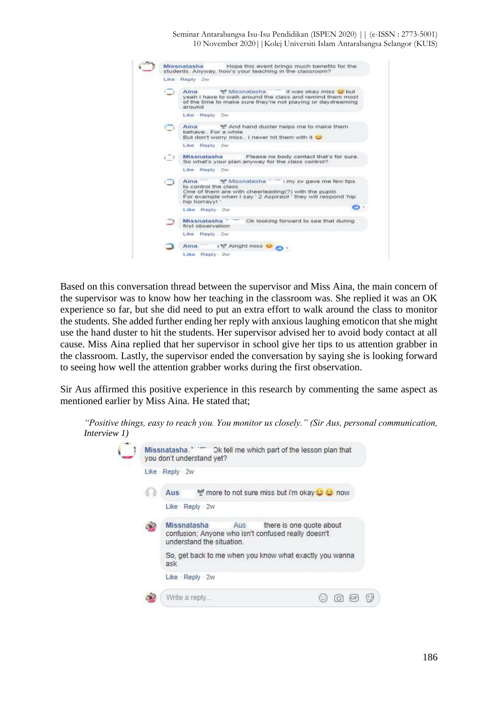Seminar Antarabangsa Isu-Isu Pendidikan (ISPEN 2020) || (e-ISSN : 2773-5001) 10 November 2020||Kolej Universiti Islam Antarabangsa Selangor (KUIS)



Based on this conversation thread between the supervisor and Miss Aina, the main concern of the supervisor was to know how her teaching in the classroom was. She replied it was an OK experience so far, but she did need to put an extra effort to walk around the class to monitor the students. She added further ending her reply with anxious laughing emoticon that she might use the hand duster to hit the students. Her supervisor advised her to avoid body contact at all cause. Miss Aina replied that her supervisor in school give her tips to us attention grabber in the classroom. Lastly, the supervisor ended the conversation by saying she is looking forward to seeing how well the attention grabber works during the first observation.

Sir Aus affirmed this positive experience in this research by commenting the same aspect as mentioned earlier by Miss Aina. He stated that;

| Missnatasha." " Dk tell me which part of the lesson plan that<br>you don't understand yet?                                         |
|------------------------------------------------------------------------------------------------------------------------------------|
| Like - Reply - 2w                                                                                                                  |
| more to not sure miss but i'm okay to the now<br>Aus                                                                               |
| Like - Reply - 2w                                                                                                                  |
| Missnatasha<br>there is one quote about<br>Aus<br>confusion: Anyone who isn't confused really doesn't<br>understand the situation. |
| So, get back to me when you know what exactly you wanna<br>ask                                                                     |
| Like Reply - 2w                                                                                                                    |
| Write a reply                                                                                                                      |

*"Positive things, easy to reach you. You monitor us closely." (Sir Aus, personal communication, Interview*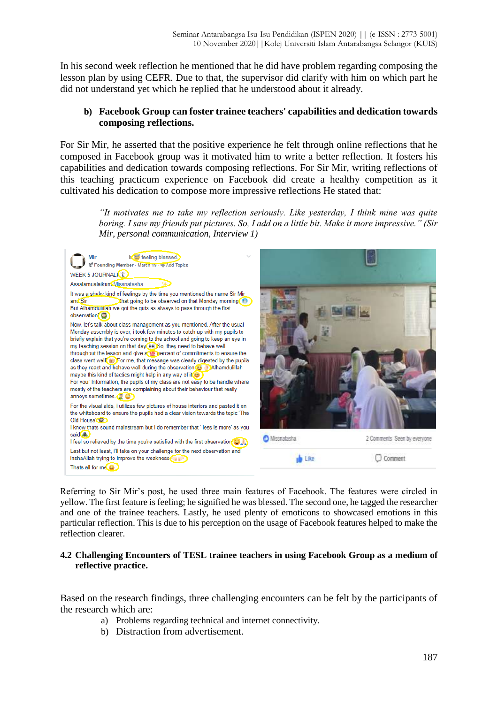In his second week reflection he mentioned that he did have problem regarding composing the lesson plan by using CEFR. Due to that, the supervisor did clarify with him on which part he did not understand yet which he replied that he understood about it already.

# **b) Facebook Group can foster trainee teachers' capabilities and dedication towards composing reflections.**

For Sir Mir, he asserted that the positive experience he felt through online reflections that he composed in Facebook group was it motivated him to write a better reflection. It fosters his capabilities and dedication towards composing reflections. For Sir Mir, writing reflections of this teaching practicum experience on Facebook did create a healthy competition as it cultivated his dedication to compose more impressive reflections He stated that:

> *"It motivates me to take my reflection seriously. Like yesterday, I think mine was quite boring. I saw my friends put pictures. So, I add on a little bit. Make it more impressive." (Sir Mir, personal communication, Interview 1)*



Referring to Sir Mir's post, he used three main features of Facebook. The features were circled in yellow. The first feature is feeling; he signified he was blessed. The second one, he tagged the researcher and one of the trainee teachers. Lastly, he used plenty of emoticons to showcased emotions in this particular reflection. This is due to his perception on the usage of Facebook features helped to make the reflection clearer.

## **4.2 Challenging Encounters of TESL trainee teachers in using Facebook Group as a medium of reflective practice.**

Based on the research findings, three challenging encounters can be felt by the participants of the research which are:

- a) Problems regarding technical and internet connectivity.
- b) Distraction from advertisement.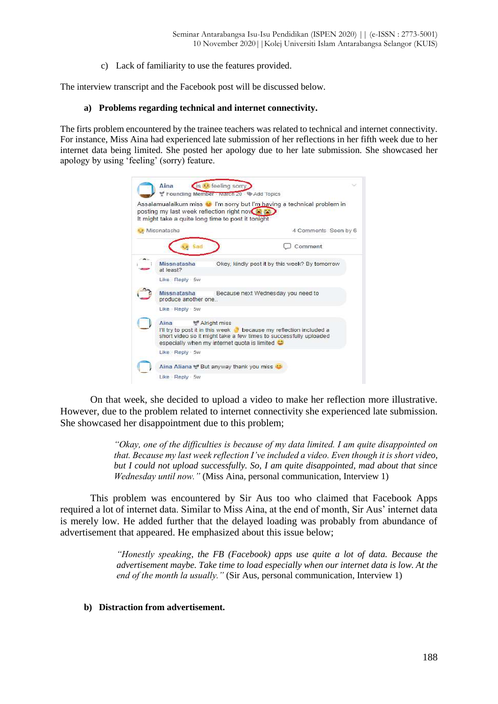c) Lack of familiarity to use the features provided.

The interview transcript and the Facebook post will be discussed below.

#### **a) Problems regarding technical and internet connectivity.**

The firts problem encountered by the trainee teachers was related to technical and internet connectivity. For instance, Miss Aina had experienced late submission of her reflections in her fifth week due to her internet data being limited. She posted her apology due to her late submission. She showcased her apology by using 'feeling' (sorry) feature.



On that week, she decided to upload a video to make her reflection more illustrative. However, due to the problem related to internet connectivity she experienced late submission. She showcased her disappointment due to this problem;

> *"Okay, one of the difficulties is because of my data limited. I am quite disappointed on that. Because my last week reflection I've included a video. Even though it is short video, but I could not upload successfully. So, I am quite disappointed, mad about that since Wednesday until now."* (Miss Aina, personal communication, Interview 1)

This problem was encountered by Sir Aus too who claimed that Facebook Apps required a lot of internet data. Similar to Miss Aina, at the end of month, Sir Aus' internet data is merely low. He added further that the delayed loading was probably from abundance of advertisement that appeared. He emphasized about this issue below;

> *"Honestly speaking, the FB (Facebook) apps use quite a lot of data. Because the advertisement maybe. Take time to load especially when our internet data is low. At the end of the month la usually."* (Sir Aus, personal communication, Interview 1)

#### **b) Distraction from advertisement.**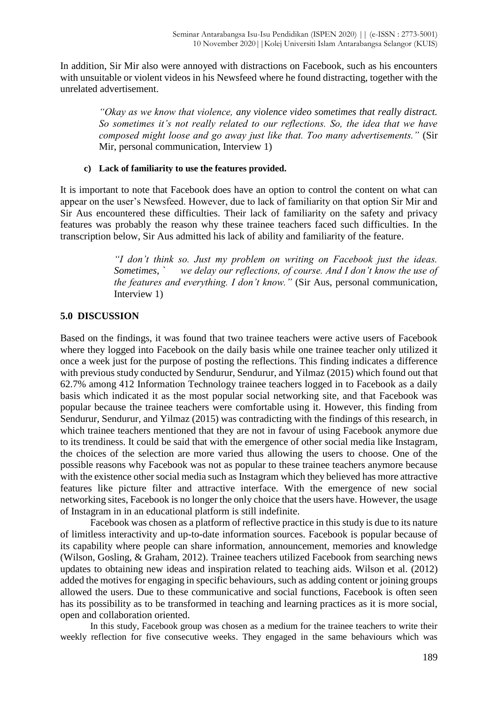In addition, Sir Mir also were annoyed with distractions on Facebook, such as his encounters with unsuitable or violent videos in his Newsfeed where he found distracting, together with the unrelated advertisement.

> *"Okay as we know that violence, any violence video sometimes that really distract. So sometimes it's not really related to our reflections. So, the idea that we have composed might loose and go away just like that. Too many advertisements."* (Sir Mir, personal communication, Interview 1)

## **c) Lack of familiarity to use the features provided.**

It is important to note that Facebook does have an option to control the content on what can appear on the user's Newsfeed. However, due to lack of familiarity on that option Sir Mir and Sir Aus encountered these difficulties. Their lack of familiarity on the safety and privacy features was probably the reason why these trainee teachers faced such difficulties. In the transcription below, Sir Aus admitted his lack of ability and familiarity of the feature.

> *"I don't think so. Just my problem on writing on Facebook just the ideas. Sometimes, ` we delay our reflections, of course. And I don't know the use of the features and everything. I don't know."* (Sir Aus, personal communication, Interview 1)

# **5.0 DISCUSSION**

Based on the findings, it was found that two trainee teachers were active users of Facebook where they logged into Facebook on the daily basis while one trainee teacher only utilized it once a week just for the purpose of posting the reflections. This finding indicates a difference with previous study conducted by Sendurur, Sendurur, and Yilmaz (2015) which found out that 62.7% among 412 Information Technology trainee teachers logged in to Facebook as a daily basis which indicated it as the most popular social networking site, and that Facebook was popular because the trainee teachers were comfortable using it. However, this finding from Sendurur, Sendurur, and Yilmaz (2015) was contradicting with the findings of this research, in which trainee teachers mentioned that they are not in favour of using Facebook anymore due to its trendiness. It could be said that with the emergence of other social media like Instagram, the choices of the selection are more varied thus allowing the users to choose. One of the possible reasons why Facebook was not as popular to these trainee teachers anymore because with the existence other social media such as Instagram which they believed has more attractive features like picture filter and attractive interface. With the emergence of new social networking sites, Facebook is no longer the only choice that the users have. However, the usage of Instagram in in an educational platform is still indefinite.

Facebook was chosen as a platform of reflective practice in this study is due to its nature of limitless interactivity and up-to-date information sources. Facebook is popular because of its capability where people can share information, announcement, memories and knowledge (Wilson, Gosling, & Graham, 2012). Trainee teachers utilized Facebook from searching news updates to obtaining new ideas and inspiration related to teaching aids. Wilson et al. (2012) added the motives for engaging in specific behaviours, such as adding content or joining groups allowed the users. Due to these communicative and social functions, Facebook is often seen has its possibility as to be transformed in teaching and learning practices as it is more social, open and collaboration oriented.

In this study, Facebook group was chosen as a medium for the trainee teachers to write their weekly reflection for five consecutive weeks. They engaged in the same behaviours which was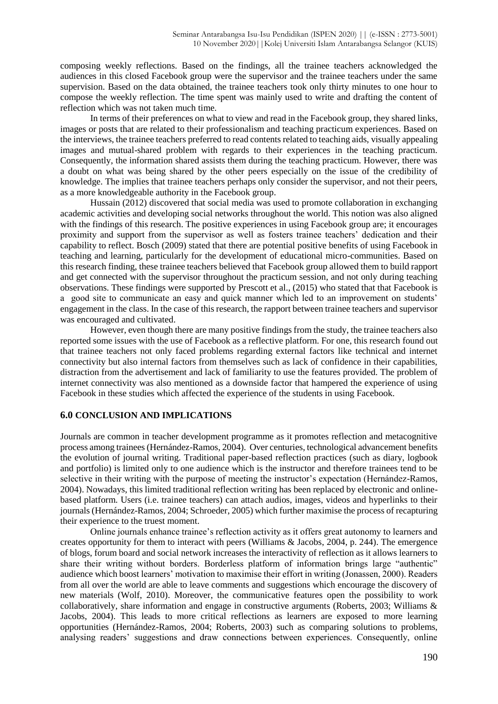composing weekly reflections. Based on the findings, all the trainee teachers acknowledged the audiences in this closed Facebook group were the supervisor and the trainee teachers under the same supervision. Based on the data obtained, the trainee teachers took only thirty minutes to one hour to compose the weekly reflection. The time spent was mainly used to write and drafting the content of reflection which was not taken much time.

In terms of their preferences on what to view and read in the Facebook group, they shared links, images or posts that are related to their professionalism and teaching practicum experiences. Based on the interviews, the trainee teachers preferred to read contents related to teaching aids, visually appealing images and mutual-shared problem with regards to their experiences in the teaching practicum. Consequently, the information shared assists them during the teaching practicum. However, there was a doubt on what was being shared by the other peers especially on the issue of the credibility of knowledge. The implies that trainee teachers perhaps only consider the supervisor, and not their peers, as a more knowledgeable authority in the Facebook group.

Hussain (2012) discovered that social media was used to promote collaboration in exchanging academic activities and developing social networks throughout the world. This notion was also aligned with the findings of this research. The positive experiences in using Facebook group are; it encourages proximity and support from the supervisor as well as fosters trainee teachers' dedication and their capability to reflect. Bosch (2009) stated that there are potential positive benefits of using Facebook in teaching and learning, particularly for the development of educational micro-communities. Based on this research finding, these trainee teachers believed that Facebook group allowed them to build rapport and get connected with the supervisor throughout the practicum session, and not only during teaching observations. These findings were supported by Prescott et al., (2015) who stated that that Facebook is a good site to communicate an easy and quick manner which led to an improvement on students' engagement in the class. In the case of this research, the rapport between trainee teachers and supervisor was encouraged and cultivated.

However, even though there are many positive findings from the study, the trainee teachers also reported some issues with the use of Facebook as a reflective platform. For one, this research found out that trainee teachers not only faced problems regarding external factors like technical and internet connectivity but also internal factors from themselves such as lack of confidence in their capabilities, distraction from the advertisement and lack of familiarity to use the features provided. The problem of internet connectivity was also mentioned as a downside factor that hampered the experience of using Facebook in these studies which affected the experience of the students in using Facebook.

#### **6.0 CONCLUSION AND IMPLICATIONS**

Journals are common in teacher development programme as it promotes reflection and metacognitive process among trainees (Hernández-Ramos, 2004). Over centuries, technological advancement benefits the evolution of journal writing. Traditional paper-based reflection practices (such as diary, logbook and portfolio) is limited only to one audience which is the instructor and therefore trainees tend to be selective in their writing with the purpose of meeting the instructor's expectation (Hernández-Ramos, 2004). Nowadays, this limited traditional reflection writing has been replaced by electronic and onlinebased platform. Users (i.e. trainee teachers) can attach audios, images, videos and hyperlinks to their journals (Hernández-Ramos, 2004; Schroeder, 2005) which further maximise the process of recapturing their experience to the truest moment.

Online journals enhance trainee's reflection activity as it offers great autonomy to learners and creates opportunity for them to interact with peers (Williams & Jacobs, 2004, p. 244). The emergence of blogs, forum board and social network increases the interactivity of reflection as it allows learners to share their writing without borders. Borderless platform of information brings large "authentic" audience which boost learners' motivation to maximise their effort in writing (Jonassen, 2000). Readers from all over the world are able to leave comments and suggestions which encourage the discovery of new materials (Wolf, 2010). Moreover, the communicative features open the possibility to work collaboratively, share information and engage in constructive arguments (Roberts, 2003; Williams & Jacobs, 2004). This leads to more critical reflections as learners are exposed to more learning opportunities (Hernández-Ramos, 2004; Roberts, 2003) such as comparing solutions to problems, analysing readers' suggestions and draw connections between experiences. Consequently, online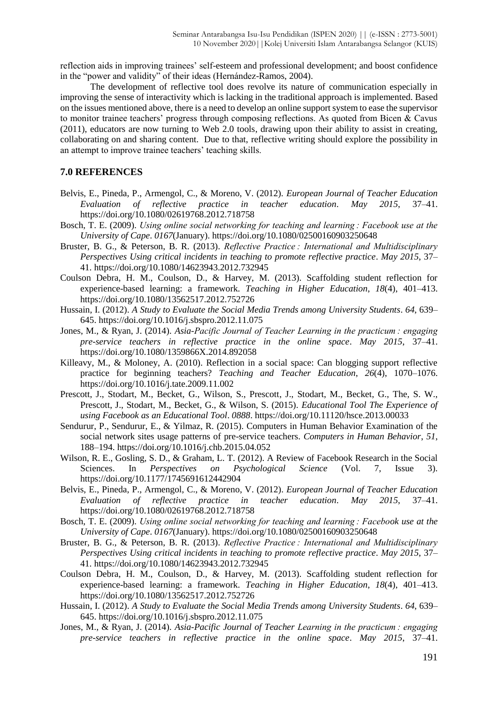reflection aids in improving trainees' self-esteem and professional development; and boost confidence in the "power and validity" of their ideas (Hernández-Ramos, 2004).

The development of reflective tool does revolve its nature of communication especially in improving the sense of interactivity which is lacking in the traditional approach is implemented. Based on the issues mentioned above, there is a need to develop an online support system to ease the supervisor to monitor trainee teachers' progress through composing reflections. As quoted from Bicen & Cavus (2011), educators are now turning to Web 2.0 tools, drawing upon their ability to assist in creating, collaborating on and sharing content. Due to that, reflective writing should explore the possibility in an attempt to improve trainee teachers' teaching skills.

## **7.0 REFERENCES**

- Belvis, E., Pineda, P., Armengol, C., & Moreno, V. (2012). *European Journal of Teacher Education Evaluation of reflective practice in teacher education*. *May 2015*, 37–41. https://doi.org/10.1080/02619768.2012.718758
- Bosch, T. E. (2009). *Using online social networking for teaching and learning : Facebook use at the University of Cape*. *0167*(January). https://doi.org/10.1080/02500160903250648
- Bruster, B. G., & Peterson, B. R. (2013). *Reflective Practice : International and Multidisciplinary Perspectives Using critical incidents in teaching to promote reflective practice*. *May 2015*, 37– 41. https://doi.org/10.1080/14623943.2012.732945
- Coulson Debra, H. M., Coulson, D., & Harvey, M. (2013). Scaffolding student reflection for experience-based learning: a framework. *Teaching in Higher Education*, *18*(4), 401–413. https://doi.org/10.1080/13562517.2012.752726
- Hussain, I. (2012). *A Study to Evaluate the Social Media Trends among University Students*. *64*, 639– 645. https://doi.org/10.1016/j.sbspro.2012.11.075
- Jones, M., & Ryan, J. (2014). *Asia-Pacific Journal of Teacher Learning in the practicum : engaging pre-service teachers in reflective practice in the online space*. *May 2015*, 37–41. https://doi.org/10.1080/1359866X.2014.892058
- Killeavy, M., & Moloney, A. (2010). Reflection in a social space: Can blogging support reflective practice for beginning teachers? *Teaching and Teacher Education*, *26*(4), 1070–1076. https://doi.org/10.1016/j.tate.2009.11.002
- Prescott, J., Stodart, M., Becket, G., Wilson, S., Prescott, J., Stodart, M., Becket, G., The, S. W., Prescott, J., Stodart, M., Becket, G., & Wilson, S. (2015). *Educational Tool The Experience of using Facebook as an Educational Tool*. *0888*. https://doi.org/10.11120/hsce.2013.00033
- Sendurur, P., Sendurur, E., & Yilmaz, R. (2015). Computers in Human Behavior Examination of the social network sites usage patterns of pre-service teachers. *Computers in Human Behavior*, *51*, 188–194. https://doi.org/10.1016/j.chb.2015.04.052
- Wilson, R. E., Gosling, S. D., & Graham, L. T. (2012). A Review of Facebook Research in the Social Sciences. In *Perspectives on Psychological Science* (Vol. 7, Issue 3). https://doi.org/10.1177/1745691612442904
- Belvis, E., Pineda, P., Armengol, C., & Moreno, V. (2012). *European Journal of Teacher Education Evaluation of reflective practice in teacher education*. *May 2015*, 37–41. https://doi.org/10.1080/02619768.2012.718758
- Bosch, T. E. (2009). *Using online social networking for teaching and learning : Facebook use at the University of Cape*. *0167*(January). https://doi.org/10.1080/02500160903250648
- Bruster, B. G., & Peterson, B. R. (2013). *Reflective Practice : International and Multidisciplinary Perspectives Using critical incidents in teaching to promote reflective practice*. *May 2015*, 37– 41. https://doi.org/10.1080/14623943.2012.732945
- Coulson Debra, H. M., Coulson, D., & Harvey, M. (2013). Scaffolding student reflection for experience-based learning: a framework. *Teaching in Higher Education*, *18*(4), 401–413. https://doi.org/10.1080/13562517.2012.752726
- Hussain, I. (2012). *A Study to Evaluate the Social Media Trends among University Students*. *64*, 639– 645. https://doi.org/10.1016/j.sbspro.2012.11.075
- Jones, M., & Ryan, J. (2014). *Asia-Pacific Journal of Teacher Learning in the practicum : engaging pre-service teachers in reflective practice in the online space*. *May 2015*, 37–41.